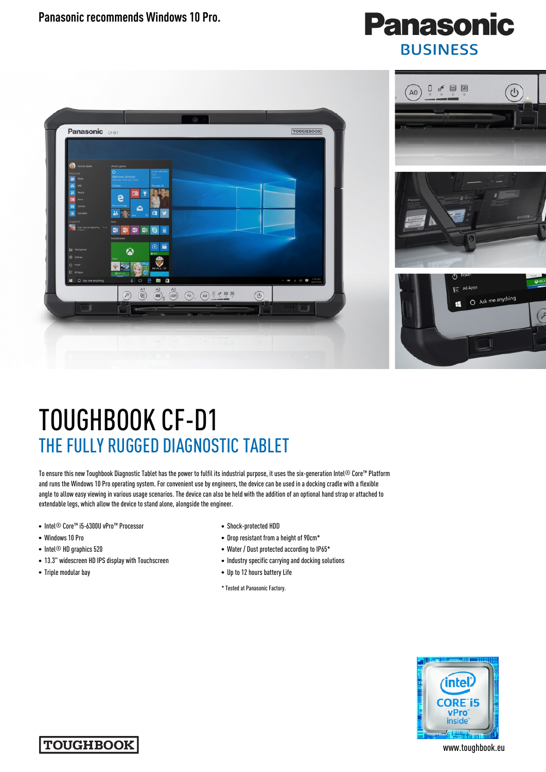**Panasonic recommends Windows 10 Pro.** 

## **Panasonic BUSINESS**



## TOUGHBOOK CF-D1 THE FULLY RUGGED DIAGNOSTIC TABLET

To ensure this new Toughbook Diagnostic Tablet has the power to fulfil its industrial purpose, it uses the six-generation Intel® Core™ Platform and runs the Windows 10 Pro operating system. For convenient use by engineers, the device can be used in a docking cradle with a flexible angle to allow easy viewing in various usage scenarios. The device can also be held with the addition of an optional hand strap or attached to extendable legs, which allow the device to stand alone, alongside the engineer.

- Intel® Core™ i5-6300U vPro™ Processor
- Windows 10 Pro
- Intel<sup>®</sup> HD graphics 520
- 13.3" widescreen HD IPS display with Touchscreen
- Triple modular bay
- Shock-protected HDD
- Drop resistant from a height of 90cm\*
- Water / Dust protected according to IP65\*
- Industry specific carrying and docking solutions
- Up to 12 hours battery Life
- \* Tested at Panasonic Factory.





www.toughbook.eu